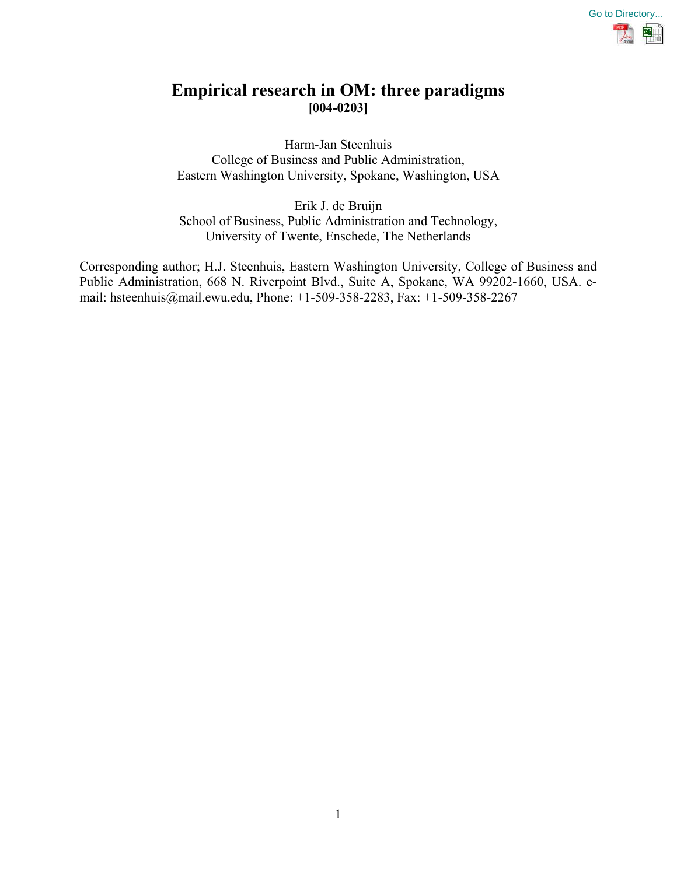

# **Empirical research in OM: three paradigms [004-0203]**

Harm-Jan Steenhuis College of Business and Public Administration, Eastern Washington University, Spokane, Washington, USA

Erik J. de Bruijn School of Business, Public Administration and Technology, University of Twente, Enschede, The Netherlands

Corresponding author; H.J. Steenhuis, Eastern Washington University, College of Business and Public Administration, 668 N. Riverpoint Blvd., Suite A, Spokane, WA 99202-1660, USA. email: hsteenhuis@mail.ewu.edu, Phone: +1-509-358-2283, Fax: +1-509-358-2267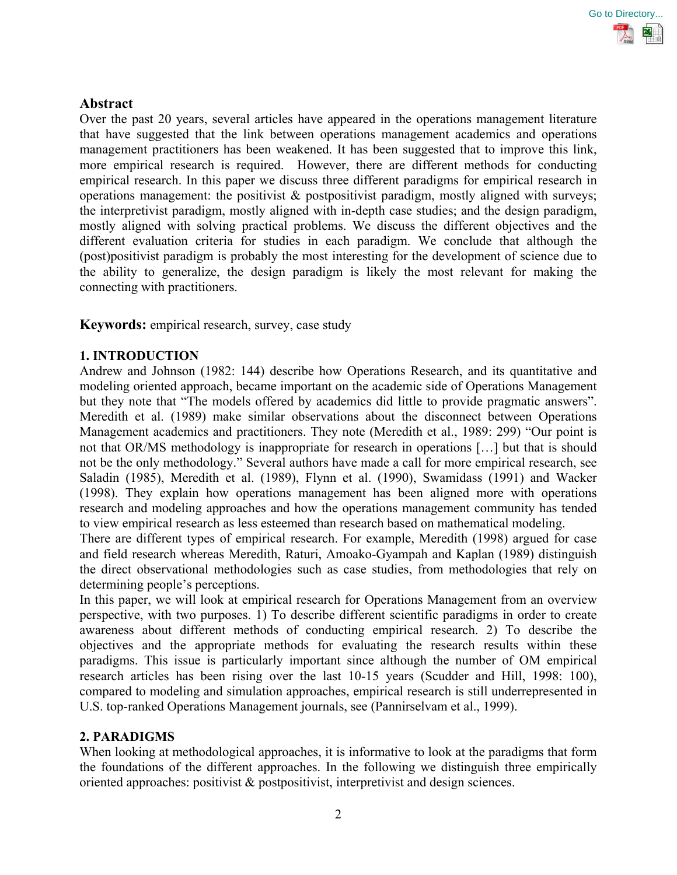

## **Abstract**

Over the past 20 years, several articles have appeared in the operations management literature that have suggested that the link between operations management academics and operations management practitioners has been weakened. It has been suggested that to improve this link, more empirical research is required. However, there are different methods for conducting empirical research. In this paper we discuss three different paradigms for empirical research in operations management: the positivist  $\&$  postpositivist paradigm, mostly aligned with surveys; the interpretivist paradigm, mostly aligned with in-depth case studies; and the design paradigm, mostly aligned with solving practical problems. We discuss the different objectives and the different evaluation criteria for studies in each paradigm. We conclude that although the (post)positivist paradigm is probably the most interesting for the development of science due to the ability to generalize, the design paradigm is likely the most relevant for making the connecting with practitioners.

**Keywords:** empirical research, survey, case study

## **1. INTRODUCTION**

Andrew and Johnson (1982: 144) describe how Operations Research, and its quantitative and modeling oriented approach, became important on the academic side of Operations Management but they note that "The models offered by academics did little to provide pragmatic answers". Meredith et al. (1989) make similar observations about the disconnect between Operations Management academics and practitioners. They note (Meredith et al., 1989: 299) "Our point is not that OR/MS methodology is inappropriate for research in operations […] but that is should not be the only methodology." Several authors have made a call for more empirical research, see Saladin (1985), Meredith et al. (1989), Flynn et al. (1990), Swamidass (1991) and Wacker (1998). They explain how operations management has been aligned more with operations research and modeling approaches and how the operations management community has tended to view empirical research as less esteemed than research based on mathematical modeling.

There are different types of empirical research. For example, Meredith (1998) argued for case and field research whereas Meredith, Raturi, Amoako-Gyampah and Kaplan (1989) distinguish the direct observational methodologies such as case studies, from methodologies that rely on determining people's perceptions.

In this paper, we will look at empirical research for Operations Management from an overview perspective, with two purposes. 1) To describe different scientific paradigms in order to create awareness about different methods of conducting empirical research. 2) To describe the objectives and the appropriate methods for evaluating the research results within these paradigms. This issue is particularly important since although the number of OM empirical research articles has been rising over the last 10-15 years (Scudder and Hill, 1998: 100), compared to modeling and simulation approaches, empirical research is still underrepresented in U.S. top-ranked Operations Management journals, see (Pannirselvam et al., 1999).

## **2. PARADIGMS**

When looking at methodological approaches, it is informative to look at the paradigms that form the foundations of the different approaches. In the following we distinguish three empirically oriented approaches: positivist & postpositivist, interpretivist and design sciences.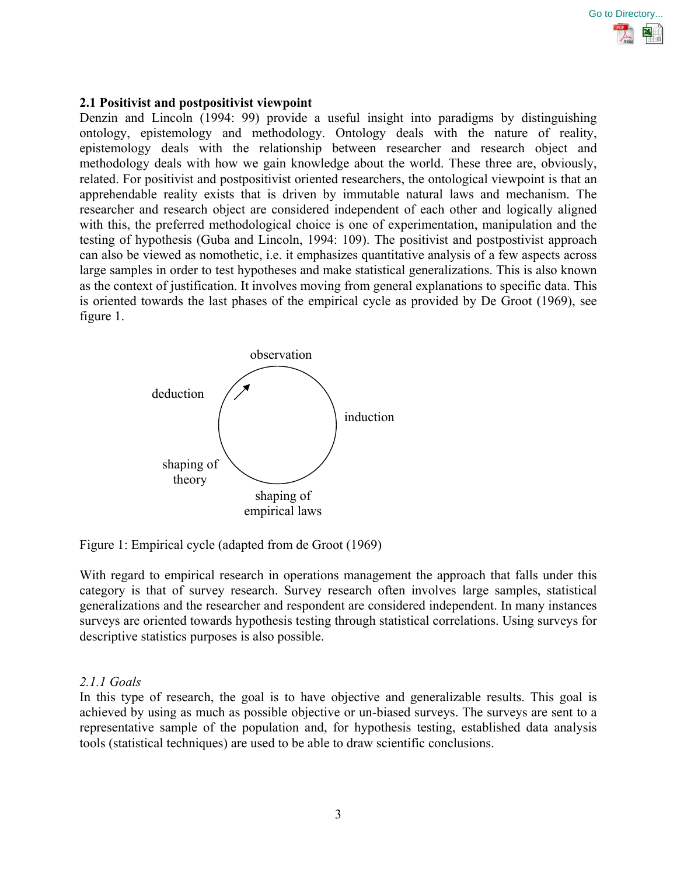

#### **2.1 Positivist and postpositivist viewpoint**

Denzin and Lincoln (1994: 99) provide a useful insight into paradigms by distinguishing ontology, epistemology and methodology. Ontology deals with the nature of reality, epistemology deals with the relationship between researcher and research object and methodology deals with how we gain knowledge about the world. These three are, obviously, related. For positivist and postpositivist oriented researchers, the ontological viewpoint is that an apprehendable reality exists that is driven by immutable natural laws and mechanism. The researcher and research object are considered independent of each other and logically aligned with this, the preferred methodological choice is one of experimentation, manipulation and the testing of hypothesis (Guba and Lincoln, 1994: 109). The positivist and postpostivist approach can also be viewed as nomothetic, i.e. it emphasizes quantitative analysis of a few aspects across large samples in order to test hypotheses and make statistical generalizations. This is also known as the context of justification. It involves moving from general explanations to specific data. This is oriented towards the last phases of the empirical cycle as provided by De Groot (1969), see figure 1.





With regard to empirical research in operations management the approach that falls under this category is that of survey research. Survey research often involves large samples, statistical generalizations and the researcher and respondent are considered independent. In many instances surveys are oriented towards hypothesis testing through statistical correlations. Using surveys for descriptive statistics purposes is also possible.

#### *2.1.1 Goals*

In this type of research, the goal is to have objective and generalizable results. This goal is achieved by using as much as possible objective or un-biased surveys. The surveys are sent to a representative sample of the population and, for hypothesis testing, established data analysis tools (statistical techniques) are used to be able to draw scientific conclusions.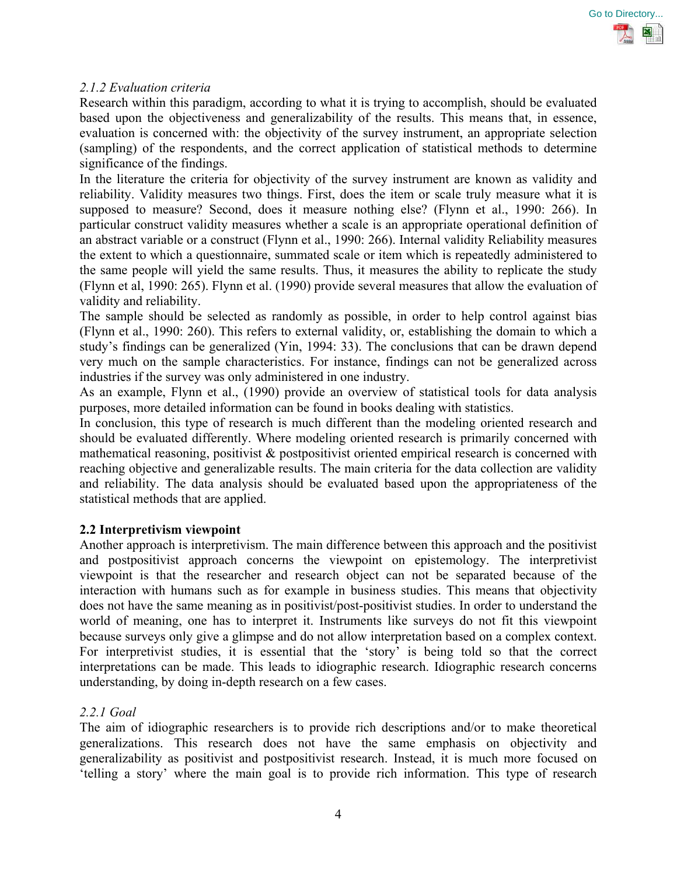

## *2.1.2 Evaluation criteria*

Research within this paradigm, according to what it is trying to accomplish, should be evaluated based upon the objectiveness and generalizability of the results. This means that, in essence, evaluation is concerned with: the objectivity of the survey instrument, an appropriate selection (sampling) of the respondents, and the correct application of statistical methods to determine significance of the findings.

In the literature the criteria for objectivity of the survey instrument are known as validity and reliability. Validity measures two things. First, does the item or scale truly measure what it is supposed to measure? Second, does it measure nothing else? (Flynn et al., 1990: 266). In particular construct validity measures whether a scale is an appropriate operational definition of an abstract variable or a construct (Flynn et al., 1990: 266). Internal validity Reliability measures the extent to which a questionnaire, summated scale or item which is repeatedly administered to the same people will yield the same results. Thus, it measures the ability to replicate the study (Flynn et al, 1990: 265). Flynn et al. (1990) provide several measures that allow the evaluation of validity and reliability.

The sample should be selected as randomly as possible, in order to help control against bias (Flynn et al., 1990: 260). This refers to external validity, or, establishing the domain to which a study's findings can be generalized (Yin, 1994: 33). The conclusions that can be drawn depend very much on the sample characteristics. For instance, findings can not be generalized across industries if the survey was only administered in one industry.

As an example, Flynn et al., (1990) provide an overview of statistical tools for data analysis purposes, more detailed information can be found in books dealing with statistics.

In conclusion, this type of research is much different than the modeling oriented research and should be evaluated differently. Where modeling oriented research is primarily concerned with mathematical reasoning, positivist & postpositivist oriented empirical research is concerned with reaching objective and generalizable results. The main criteria for the data collection are validity and reliability. The data analysis should be evaluated based upon the appropriateness of the statistical methods that are applied.

## **2.2 Interpretivism viewpoint**

Another approach is interpretivism. The main difference between this approach and the positivist and postpositivist approach concerns the viewpoint on epistemology. The interpretivist viewpoint is that the researcher and research object can not be separated because of the interaction with humans such as for example in business studies. This means that objectivity does not have the same meaning as in positivist/post-positivist studies. In order to understand the world of meaning, one has to interpret it. Instruments like surveys do not fit this viewpoint because surveys only give a glimpse and do not allow interpretation based on a complex context. For interpretivist studies, it is essential that the 'story' is being told so that the correct interpretations can be made. This leads to idiographic research. Idiographic research concerns understanding, by doing in-depth research on a few cases.

#### *2.2.1 Goal*

The aim of idiographic researchers is to provide rich descriptions and/or to make theoretical generalizations. This research does not have the same emphasis on objectivity and generalizability as positivist and postpositivist research. Instead, it is much more focused on 'telling a story' where the main goal is to provide rich information. This type of research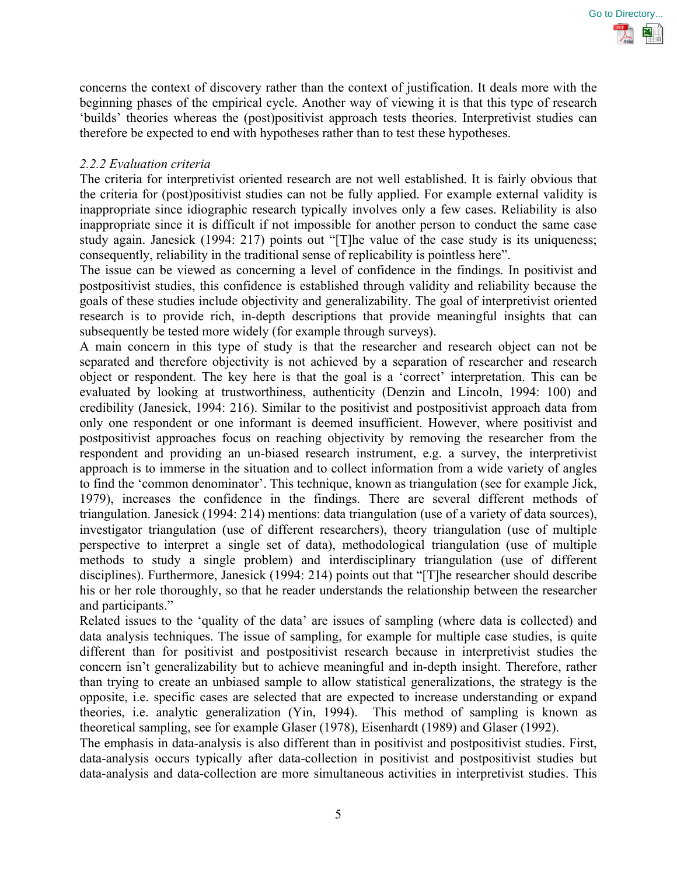

concerns the context of discovery rather than the context of justification. It deals more with the beginning phases of the empirical cycle. Another way of viewing it is that this type of research 'builds' theories whereas the (post)positivist approach tests theories. Interpretivist studies can therefore be expected to end with hypotheses rather than to test these hypotheses.

## *2.2.2 Evaluation criteria*

The criteria for interpretivist oriented research are not well established. It is fairly obvious that the criteria for (post)positivist studies can not be fully applied. For example external validity is inappropriate since idiographic research typically involves only a few cases. Reliability is also inappropriate since it is difficult if not impossible for another person to conduct the same case study again. Janesick (1994: 217) points out "[T]he value of the case study is its uniqueness; consequently, reliability in the traditional sense of replicability is pointless here".

The issue can be viewed as concerning a level of confidence in the findings. In positivist and postpositivist studies, this confidence is established through validity and reliability because the goals of these studies include objectivity and generalizability. The goal of interpretivist oriented research is to provide rich, in-depth descriptions that provide meaningful insights that can subsequently be tested more widely (for example through surveys).

A main concern in this type of study is that the researcher and research object can not be separated and therefore objectivity is not achieved by a separation of researcher and research object or respondent. The key here is that the goal is a 'correct' interpretation. This can be evaluated by looking at trustworthiness, authenticity (Denzin and Lincoln, 1994: 100) and credibility (Janesick, 1994: 216). Similar to the positivist and postpositivist approach data from only one respondent or one informant is deemed insufficient. However, where positivist and postpositivist approaches focus on reaching objectivity by removing the researcher from the respondent and providing an un-biased research instrument, e.g. a survey, the interpretivist approach is to immerse in the situation and to collect information from a wide variety of angles to find the 'common denominator'. This technique, known as triangulation (see for example Jick, 1979), increases the confidence in the findings. There are several different methods of triangulation. Janesick (1994: 214) mentions: data triangulation (use of a variety of data sources), investigator triangulation (use of different researchers), theory triangulation (use of multiple perspective to interpret a single set of data), methodological triangulation (use of multiple methods to study a single problem) and interdisciplinary triangulation (use of different disciplines). Furthermore, Janesick (1994: 214) points out that "[T]he researcher should describe his or her role thoroughly, so that he reader understands the relationship between the researcher and participants."

Related issues to the 'quality of the data' are issues of sampling (where data is collected) and data analysis techniques. The issue of sampling, for example for multiple case studies, is quite different than for positivist and postpositivist research because in interpretivist studies the concern isn't generalizability but to achieve meaningful and in-depth insight. Therefore, rather than trying to create an unbiased sample to allow statistical generalizations, the strategy is the opposite, i.e. specific cases are selected that are expected to increase understanding or expand theories, i.e. analytic generalization (Yin, 1994). This method of sampling is known as theoretical sampling, see for example Glaser (1978), Eisenhardt (1989) and Glaser (1992).

The emphasis in data-analysis is also different than in positivist and postpositivist studies. First, data-analysis occurs typically after data-collection in positivist and postpositivist studies but data-analysis and data-collection are more simultaneous activities in interpretivist studies. This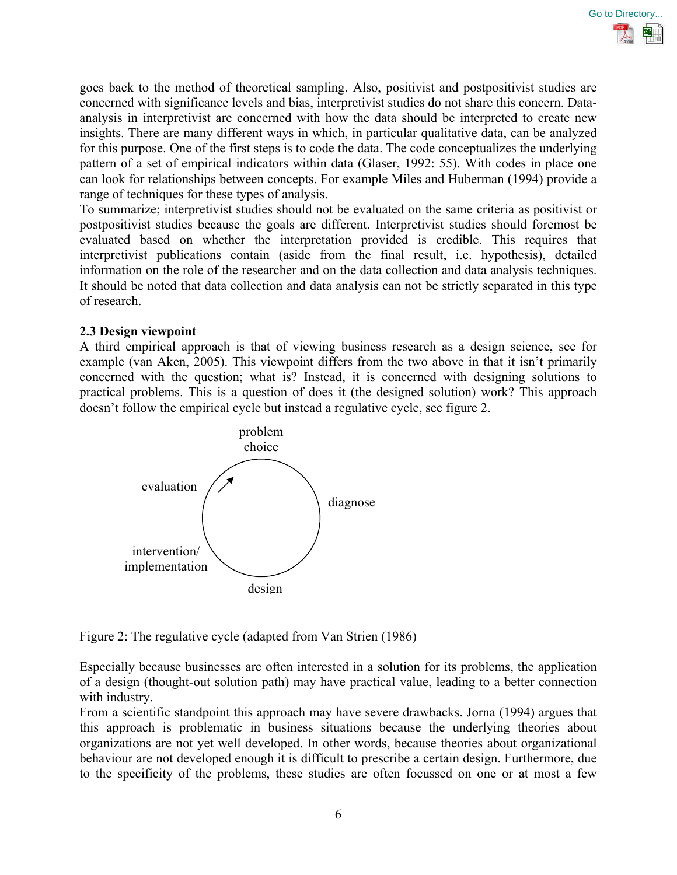

goes back to the method of theoretical sampling. Also, positivist and postpositivist studies are concerned with significance levels and bias, interpretivist studies do not share this concern. Dataanalysis in interpretivist are concerned with how the data should be interpreted to create new insights. There are many different ways in which, in particular qualitative data, can be analyzed for this purpose. One of the first steps is to code the data. The code conceptualizes the underlying pattern of a set of empirical indicators within data (Glaser, 1992: 55). With codes in place one can look for relationships between concepts. For example Miles and Huberman (1994) provide a range of techniques for these types of analysis.

To summarize; interpretivist studies should not be evaluated on the same criteria as positivist or postpositivist studies because the goals are different. Interpretivist studies should foremost be evaluated based on whether the interpretation provided is credible. This requires that interpretivist publications contain (aside from the final result, i.e. hypothesis), detailed information on the role of the researcher and on the data collection and data analysis techniques. It should be noted that data collection and data analysis can not be strictly separated in this type of research.

### **2.3 Design viewpoint**

A third empirical approach is that of viewing business research as a design science, see for example (van Aken, 2005). This viewpoint differs from the two above in that it isn't primarily concerned with the question; what is? Instead, it is concerned with designing solutions to practical problems. This is a question of does it (the designed solution) work? This approach doesn't follow the empirical cycle but instead a regulative cycle, see figure 2.



Figure 2: The regulative cycle (adapted from Van Strien (1986)

Especially because businesses are often interested in a solution for its problems, the application of a design (thought-out solution path) may have practical value, leading to a better connection with industry.

From a scientific standpoint this approach may have severe drawbacks. Jorna (1994) argues that this approach is problematic in business situations because the underlying theories about organizations are not yet well developed. In other words, because theories about organizational behaviour are not developed enough it is difficult to prescribe a certain design. Furthermore, due to the specificity of the problems, these studies are often focussed on one or at most a few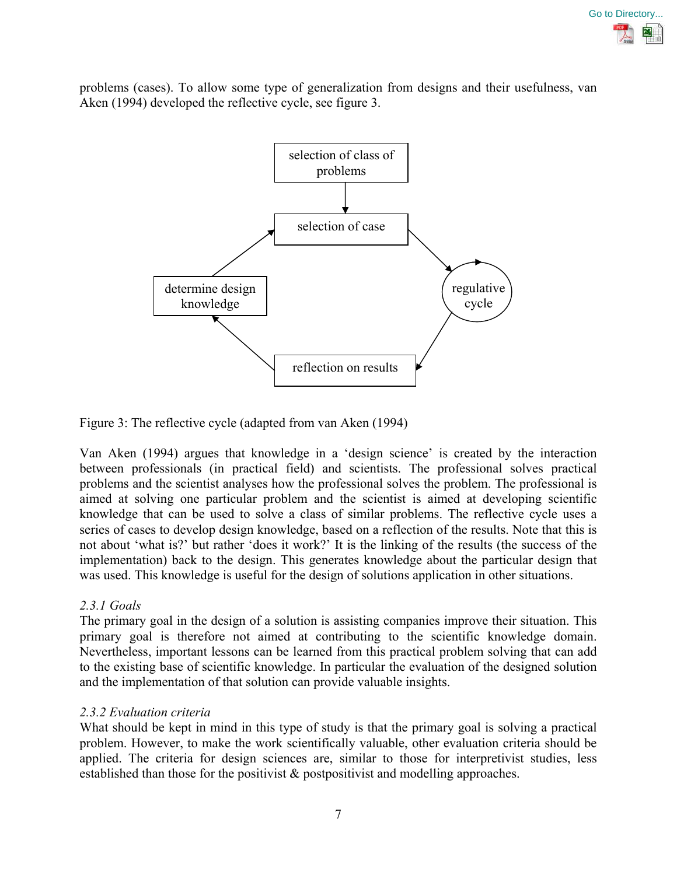

problems (cases). To allow some type of generalization from designs and their usefulness, van Aken (1994) developed the reflective cycle, see figure 3.



Figure 3: The reflective cycle (adapted from van Aken (1994)

Van Aken (1994) argues that knowledge in a 'design science' is created by the interaction between professionals (in practical field) and scientists. The professional solves practical problems and the scientist analyses how the professional solves the problem. The professional is aimed at solving one particular problem and the scientist is aimed at developing scientific knowledge that can be used to solve a class of similar problems. The reflective cycle uses a series of cases to develop design knowledge, based on a reflection of the results. Note that this is not about 'what is?' but rather 'does it work?' It is the linking of the results (the success of the implementation) back to the design. This generates knowledge about the particular design that was used. This knowledge is useful for the design of solutions application in other situations.

# *2.3.1 Goals*

The primary goal in the design of a solution is assisting companies improve their situation. This primary goal is therefore not aimed at contributing to the scientific knowledge domain. Nevertheless, important lessons can be learned from this practical problem solving that can add to the existing base of scientific knowledge. In particular the evaluation of the designed solution and the implementation of that solution can provide valuable insights.

## *2.3.2 Evaluation criteria*

What should be kept in mind in this type of study is that the primary goal is solving a practical problem. However, to make the work scientifically valuable, other evaluation criteria should be applied. The criteria for design sciences are, similar to those for interpretivist studies, less established than those for the positivist & postpositivist and modelling approaches.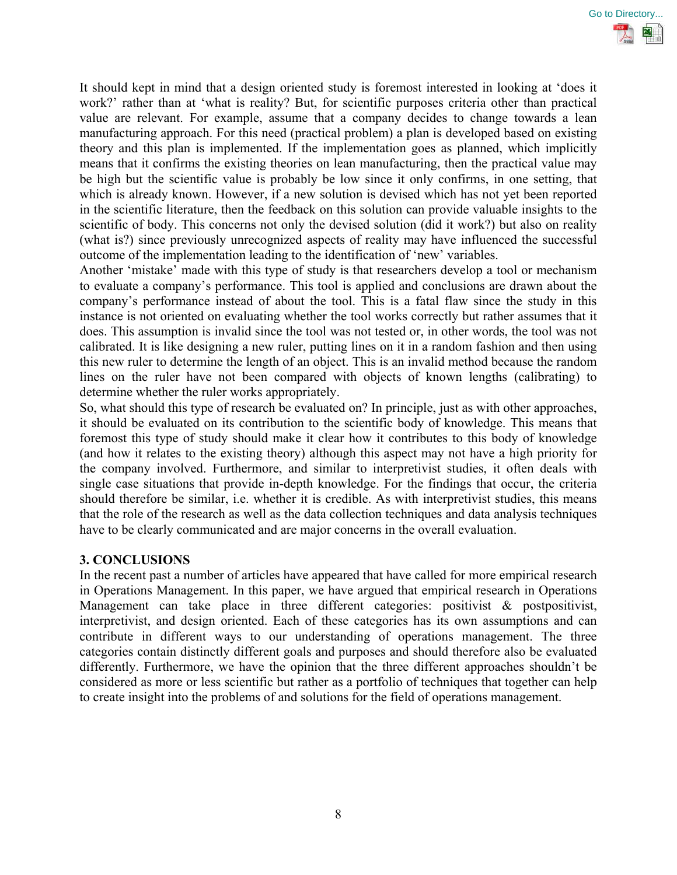

It should kept in mind that a design oriented study is foremost interested in looking at 'does it work?' rather than at 'what is reality? But, for scientific purposes criteria other than practical value are relevant. For example, assume that a company decides to change towards a lean manufacturing approach. For this need (practical problem) a plan is developed based on existing theory and this plan is implemented. If the implementation goes as planned, which implicitly means that it confirms the existing theories on lean manufacturing, then the practical value may be high but the scientific value is probably be low since it only confirms, in one setting, that which is already known. However, if a new solution is devised which has not yet been reported in the scientific literature, then the feedback on this solution can provide valuable insights to the scientific of body. This concerns not only the devised solution (did it work?) but also on reality (what is?) since previously unrecognized aspects of reality may have influenced the successful outcome of the implementation leading to the identification of 'new' variables.

Another 'mistake' made with this type of study is that researchers develop a tool or mechanism to evaluate a company's performance. This tool is applied and conclusions are drawn about the company's performance instead of about the tool. This is a fatal flaw since the study in this instance is not oriented on evaluating whether the tool works correctly but rather assumes that it does. This assumption is invalid since the tool was not tested or, in other words, the tool was not calibrated. It is like designing a new ruler, putting lines on it in a random fashion and then using this new ruler to determine the length of an object. This is an invalid method because the random lines on the ruler have not been compared with objects of known lengths (calibrating) to determine whether the ruler works appropriately.

So, what should this type of research be evaluated on? In principle, just as with other approaches, it should be evaluated on its contribution to the scientific body of knowledge. This means that foremost this type of study should make it clear how it contributes to this body of knowledge (and how it relates to the existing theory) although this aspect may not have a high priority for the company involved. Furthermore, and similar to interpretivist studies, it often deals with single case situations that provide in-depth knowledge. For the findings that occur, the criteria should therefore be similar, i.e. whether it is credible. As with interpretivist studies, this means that the role of the research as well as the data collection techniques and data analysis techniques have to be clearly communicated and are major concerns in the overall evaluation.

## **3. CONCLUSIONS**

In the recent past a number of articles have appeared that have called for more empirical research in Operations Management. In this paper, we have argued that empirical research in Operations Management can take place in three different categories: positivist & postpositivist, interpretivist, and design oriented. Each of these categories has its own assumptions and can contribute in different ways to our understanding of operations management. The three categories contain distinctly different goals and purposes and should therefore also be evaluated differently. Furthermore, we have the opinion that the three different approaches shouldn't be considered as more or less scientific but rather as a portfolio of techniques that together can help to create insight into the problems of and solutions for the field of operations management.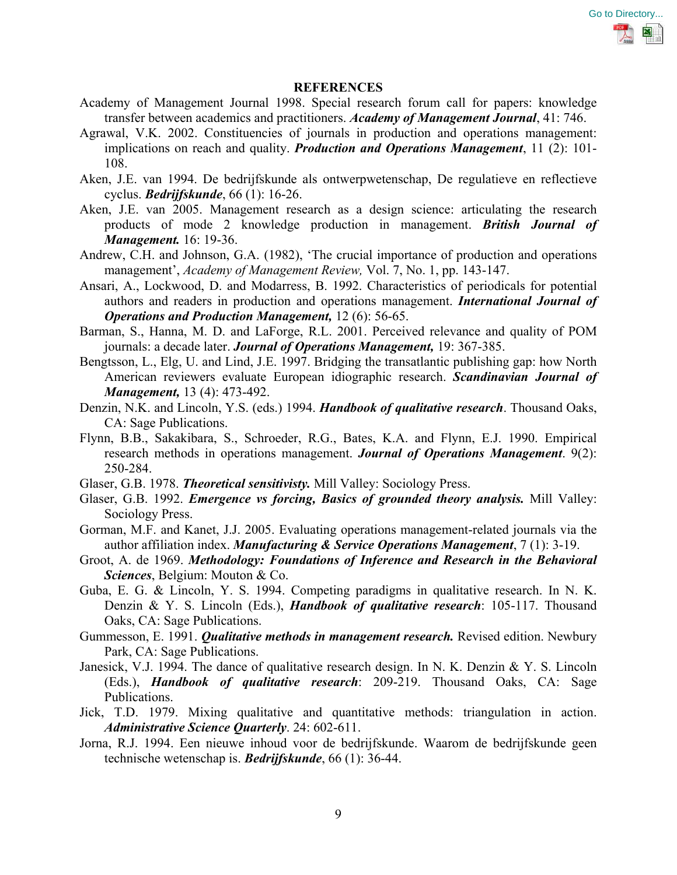

#### **REFERENCES**

- Academy of Management Journal 1998. Special research forum call for papers: knowledge transfer between academics and practitioners. *Academy of Management Journal*, 41: 746.
- Agrawal, V.K. 2002. Constituencies of journals in production and operations management: implications on reach and quality. *Production and Operations Management*, 11 (2): 101- 108.
- Aken, J.E. van 1994. De bedrijfskunde als ontwerpwetenschap, De regulatieve en reflectieve cyclus. *Bedrijfskunde*, 66 (1): 16-26.
- Aken, J.E. van 2005. Management research as a design science: articulating the research products of mode 2 knowledge production in management. *British Journal of Management.* 16: 19-36.
- Andrew, C.H. and Johnson, G.A. (1982), 'The crucial importance of production and operations management', *Academy of Management Review,* Vol. 7, No. 1, pp. 143-147.
- Ansari, A., Lockwood, D. and Modarress, B. 1992. Characteristics of periodicals for potential authors and readers in production and operations management. *International Journal of Operations and Production Management,* 12 (6): 56-65.
- Barman, S., Hanna, M. D. and LaForge, R.L. 2001. Perceived relevance and quality of POM journals: a decade later. *Journal of Operations Management,* 19: 367-385.
- Bengtsson, L., Elg, U. and Lind, J.E. 1997. Bridging the transatlantic publishing gap: how North American reviewers evaluate European idiographic research. *Scandinavian Journal of Management,* 13 (4): 473-492.
- Denzin, N.K. and Lincoln, Y.S. (eds.) 1994. *Handbook of qualitative research*. Thousand Oaks, CA: Sage Publications.
- Flynn, B.B., Sakakibara, S., Schroeder, R.G., Bates, K.A. and Flynn, E.J. 1990. Empirical research methods in operations management. *Journal of Operations Management*. 9(2): 250-284.
- Glaser, G.B. 1978. *Theoretical sensitivisty.* Mill Valley: Sociology Press.
- Glaser, G.B. 1992. *Emergence vs forcing, Basics of grounded theory analysis.* Mill Valley: Sociology Press.
- Gorman, M.F. and Kanet, J.J. 2005. Evaluating operations management-related journals via the author affiliation index. *Manufacturing & Service Operations Management*, 7 (1): 3-19.
- Groot, A. de 1969. *Methodology: Foundations of Inference and Research in the Behavioral Sciences*, Belgium: Mouton & Co.
- Guba, E. G. & Lincoln, Y. S. 1994. Competing paradigms in qualitative research. In N. K. Denzin & Y. S. Lincoln (Eds.), *Handbook of qualitative research*: 105-117. Thousand Oaks, CA: Sage Publications.
- Gummesson, E. 1991. *Qualitative methods in management research.* Revised edition. Newbury Park, CA: Sage Publications.
- Janesick, V.J. 1994. The dance of qualitative research design. In N. K. Denzin & Y. S. Lincoln (Eds.), *Handbook of qualitative research*: 209-219. Thousand Oaks, CA: Sage Publications.
- Jick, T.D. 1979. Mixing qualitative and quantitative methods: triangulation in action. *Administrative Science Quarterly*. 24: 602-611.
- Jorna, R.J. 1994. Een nieuwe inhoud voor de bedrijfskunde. Waarom de bedrijfskunde geen technische wetenschap is. *Bedrijfskunde*, 66 (1): 36-44.